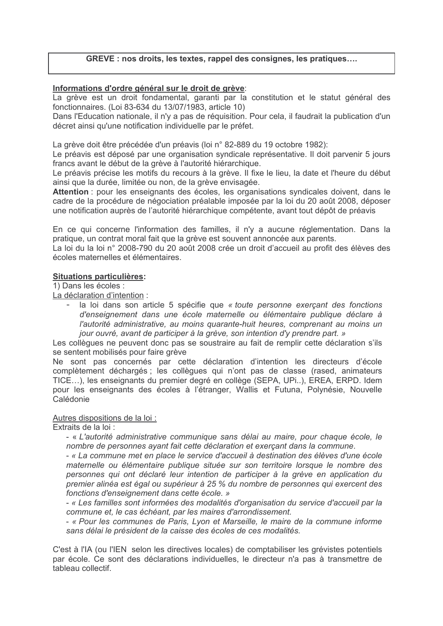# GREVE : nos droits, les textes, rappel des consignes, les pratiques....

# Informations d'ordre général sur le droit de grève:

La grève est un droit fondamental, garanti par la constitution et le statut général des fonctionnaires. (Loi 83-634 du 13/07/1983, article 10)

Dans l'Education nationale, il n'y a pas de réquisition. Pour cela, il faudrait la publication d'un décret ainsi qu'une notification individuelle par le préfet.

La grève doit être précédée d'un préavis (loi n° 82-889 du 19 octobre 1982):

Le préavis est déposé par une organisation syndicale représentative. Il doit parvenir 5 jours francs avant le début de la grève à l'autorité hiérarchique.

Le préavis précise les motifs du recours à la grève. Il fixe le lieu, la date et l'heure du début ainsi que la durée, limitée ou non, de la grève envisagée.

Attention : pour les enseignants des écoles, les organisations syndicales doivent, dans le cadre de la procédure de négociation préalable imposée par la loi du 20 août 2008, déposer une notification auprès de l'autorité hiérarchique compétente, avant tout dépôt de préavis

En ce qui concerne l'information des familles, il n'y a aucune réglementation. Dans la pratique, un contrat moral fait que la grève est souvent annoncée aux parents.

La loi du la loi n° 2008-790 du 20 août 2008 crée un droit d'accueil au profit des élèves des écoles maternelles et élémentaires

### **Situations particulières:**

1) Dans les écoles :

La déclaration d'intention :

- la loi dans son article 5 spécifie que « toute personne exerçant des fonctions d'enseignement dans une école maternelle ou élémentaire publique déclare à l'autorité administrative, au moins quarante-huit heures, comprenant au moins un jour ouvré, avant de participer à la grève, son intention d'y prendre part. »

Les collèques ne peuvent donc pas se soustraire au fait de remplir cette déclaration s'ils se sentent mobilisés pour faire grève

Ne sont pas concernés par cette déclaration d'intention les directeurs d'école complètement déchargés ; les collègues qui n'ont pas de classe (rased, animateurs TICE...), les enseignants du premier degré en collège (SEPA, UPi..), EREA, ERPD. Idem pour les enseignants des écoles à l'étranger, Wallis et Futuna, Polynésie, Nouvelle Calédonie

#### Autres dispositions de la loi :

Extraits de la loi :

- « L'autorité administrative communique sans délai au maire, pour chaque école, le nombre de personnes avant fait cette déclaration et exercant dans la commune.

- « La commune met en place le service d'accueil à destination des élèves d'une école maternelle ou élémentaire publique située sur son territoire lorsque le nombre des personnes qui ont déclaré leur intention de participer à la grève en application du premier alinéa est égal ou supérieur à 25 % du nombre de personnes qui exercent des fonctions d'enseignement dans cette école. »

- « Les familles sont informées des modalités d'organisation du service d'accueil par la commune et, le cas échéant, par les maires d'arrondissement.

- « Pour les communes de Paris. Lyon et Marseille. le maire de la commune informe sans délai le président de la caisse des écoles de ces modalités.

C'est à l'IA (ou l'IEN selon les directives locales) de comptabiliser les grévistes potentiels par école. Ce sont des déclarations individuelles, le directeur n'a pas à transmettre de tableau collectif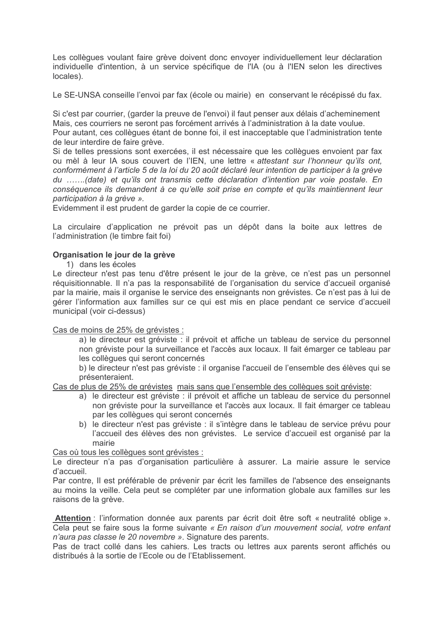Les collègues voulant faire grève doivent donc envoyer individuellement leur déclaration individuelle d'intention, à un service spécifique de l'IA (ou à l'IEN selon les directives locales).

Le SE-UNSA conseille l'envoi par fax (école ou mairie) en conservant le récépissé du fax.

Si c'est par courrier, (garder la preuve de l'envoi) il faut penser aux délais d'acheminement Mais, ces courriers ne seront pas forcément arrivés à l'administration à la date voulue.

Pour autant, ces collègues étant de bonne foi, il est inacceptable que l'administration tente de leur interdire de faire grève.

Si de telles pressions sont exercées, il est nécessaire que les collèques envoient par fax ou mèl à leur lA sous couvert de l'IEN, une lettre « attestant sur l'honneur qu'ils ont. conformément à l'article 5 de la loi du 20 août déclaré leur intention de participer à la grève du ......(date) et qu'ils ont transmis cette déclaration d'intention par voie postale. En conséquence ils demandent à ce qu'elle soit prise en compte et qu'ils maintiennent leur participation à la grève ».

Evidemment il est prudent de garder la copie de ce courrier.

La circulaire d'application ne prévoit pas un dépôt dans la boite aux lettres de l'administration (le timbre fait foi)

### Organisation le jour de la grève

1) dans les écoles

Le directeur n'est pas tenu d'être présent le jour de la grève, ce n'est pas un personnel réquisitionnable. Il n'a pas la responsabilité de l'organisation du service d'accueil organisé par la mairie, mais il organise le service des enseignants non grévistes. Ce n'est pas à lui de gérer l'information aux familles sur ce qui est mis en place pendant ce service d'accueil municipal (voir ci-dessus)

Cas de moins de 25% de grévistes :

a) le directeur est gréviste : il prévoit et affiche un tableau de service du personnel non gréviste pour la surveillance et l'accès aux locaux. Il fait émarger ce tableau par les collègues qui seront concernés

b) le directeur n'est pas gréviste : il organise l'accueil de l'ensemble des élèves qui se présenteraient.

Cas de plus de 25% de grévistes mais sans que l'ensemble des collègues soit gréviste:

- a) le directeur est gréviste : il prévoit et affiche un tableau de service du personnel non gréviste pour la surveillance et l'accès aux locaux. Il fait émarger ce tableau par les collègues qui seront concernés
- b) le directeur n'est pas gréviste : il s'intègre dans le tableau de service prévu pour l'accueil des élèves des non grévistes. Le service d'accueil est organisé par la mairie

#### Cas où tous les collègues sont grévistes :

Le directeur n'a pas d'organisation particulière à assurer. La mairie assure le service d'accueil.

Par contre. Il est préférable de prévenir par écrit les familles de l'absence des enseignants au moins la veille. Cela peut se compléter par une information globale aux familles sur les raisons de la grève.

Attention : l'information donnée aux parents par écrit doit être soft « neutralité oblige ». Cela peut se faire sous la forme suivante « En raison d'un mouvement social, votre enfant n'aura pas classe le 20 novembre ». Signature des parents.

Pas de tract collé dans les cahiers. Les tracts ou lettres aux parents seront affichés ou distribués à la sortie de l'Ecole ou de l'Etablissement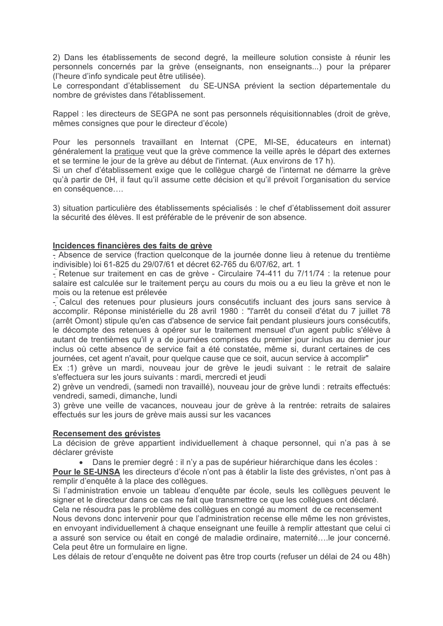2) Dans les établissements de second degré, la meilleure solution consiste à réunir les personnels concernés par la grève (enseignants, non enseignants...) pour la préparer (l'heure d'info syndicale peut être utilisée).

Le correspondant d'établissement du SE-UNSA prévient la section départementale du nombre de grévistes dans l'établissement.

Rappel : les directeurs de SEGPA ne sont pas personnels réquisitionnables (droit de grève. mêmes consignes que pour le directeur d'école)

Pour les personnels travaillant en Internat (CPE, MI-SE, éducateurs en internat) généralement la pratique veut que la grève commence la veille après le départ des externes et se termine le jour de la grève au début de l'internat. (Aux environs de 17 h).

Si un chef d'établissement exige que le collègue chargé de l'internat ne démarre la grève qu'à partir de 0H, il faut qu'il assume cette décision et qu'il prévoit l'organisation du service en conséquence....

3) situation particulière des établissements spécialisés : le chef d'établissement doit assurer la sécurité des élèves. Il est préférable de le prévenir de son absence.

### Incidences financières des faits de grève

- Absence de service (fraction quelconque de la journée donne lieu à retenue du trentième indivisible) loi 61-825 du 29/07/61 et décret 62-765 du 6/07/62, art. 1

- Retenue sur traitement en cas de grève - Circulaire 74-411 du 7/11/74 : la retenue pour salaire est calculée sur le traitement percu au cours du mois ou a eu lieu la grève et non le mois ou la retenue est prélevée

- Calcul des retenues pour plusieurs jours consécutifs incluant des jours sans service à accomplir. Réponse ministérielle du 28 avril 1980 : "l'arrêt du conseil d'état du 7 juillet 78 (arrêt Omont) stipule qu'en cas d'absence de service fait pendant plusieurs jours consécutifs, le décompte des retenues à opérer sur le traitement mensuel d'un agent public s'élève à autant de trentièmes qu'il y a de journées comprises du premier jour inclus au dernier jour inclus où cette absence de service fait a été constatée, même si, durant certaines de ces journées, cet agent n'avait, pour quelque cause que ce soit, aucun service à accomplir"

Ex :1) grève un mardi, nouveau jour de grève le jeudi suivant : le retrait de salaire s'effectuera sur les jours suivants : mardi, mercredi et jeudi

2) grève un vendredi, (samedi non travaillé), nouveau jour de grève lundi : retraits effectués: vendredi, samedi, dimanche, lundi

3) grève une veille de vacances, nouveau jour de grève à la rentrée; retraits de salaires effectués sur les jours de grève mais aussi sur les vacances

#### Recensement des grévistes

La décision de grève appartient individuellement à chaque personnel, qui n'a pas à se déclarer gréviste

• Dans le premier degré : il n'y a pas de supérieur hiérarchique dans les écoles :

**Pour le SE-UNSA** les directeurs d'école n'ont pas à établir la liste des grévistes, n'ont pas à remplir d'enquête à la place des collègues.

Si l'administration envoie un tableau d'enquête par école, seuls les collègues peuvent le signer et le directeur dans ce cas ne fait que transmettre ce que les collègues ont déclaré.

Cela ne résoudra pas le problème des collèques en congé au moment de ce recensement Nous devons donc intervenir pour que l'administration recense elle même les non grévistes, en envoyant individuellement à chaque enseignant une feuille à remplir attestant que celui ci a assuré son service ou était en congé de maladie ordinaire, maternité....le jour concerné. Cela peut être un formulaire en ligne.

Les délais de retour d'enquête ne doivent pas être trop courts (refuser un délai de 24 ou 48h)